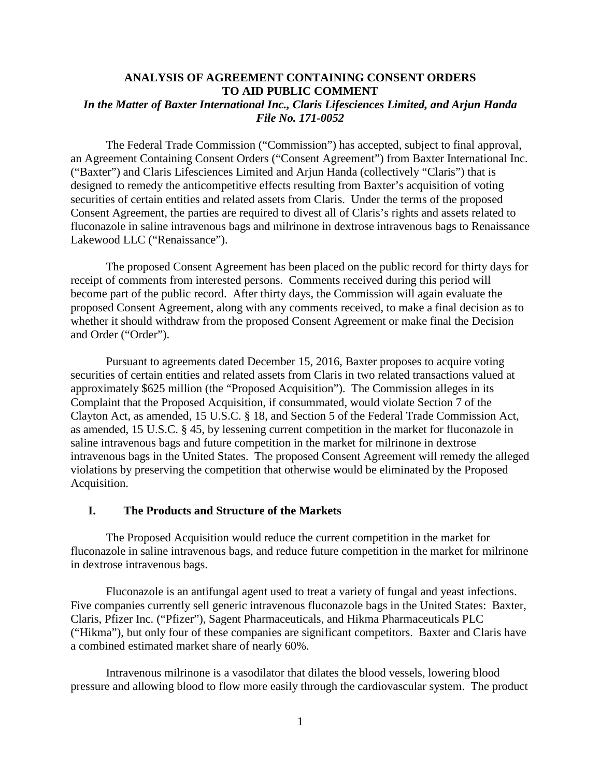#### **ANALYSIS OF AGREEMENT CONTAINING CONSENT ORDERS TO AID PUBLIC COMMENT** *In the Matter of Baxter International Inc., Claris Lifesciences Limited, and Arjun Handa File No. 171-0052*

The Federal Trade Commission ("Commission") has accepted, subject to final approval, an Agreement Containing Consent Orders ("Consent Agreement") from Baxter International Inc. ("Baxter") and Claris Lifesciences Limited and Arjun Handa (collectively "Claris") that is designed to remedy the anticompetitive effects resulting from Baxter's acquisition of voting securities of certain entities and related assets from Claris. Under the terms of the proposed Consent Agreement, the parties are required to divest all of Claris's rights and assets related to fluconazole in saline intravenous bags and milrinone in dextrose intravenous bags to Renaissance Lakewood LLC ("Renaissance").

The proposed Consent Agreement has been placed on the public record for thirty days for receipt of comments from interested persons. Comments received during this period will become part of the public record. After thirty days, the Commission will again evaluate the proposed Consent Agreement, along with any comments received, to make a final decision as to whether it should withdraw from the proposed Consent Agreement or make final the Decision and Order ("Order").

Pursuant to agreements dated December 15, 2016, Baxter proposes to acquire voting securities of certain entities and related assets from Claris in two related transactions valued at approximately \$625 million (the "Proposed Acquisition"). The Commission alleges in its Complaint that the Proposed Acquisition, if consummated, would violate Section 7 of the Clayton Act, as amended, 15 U.S.C. § 18, and Section 5 of the Federal Trade Commission Act, as amended, 15 U.S.C. § 45, by lessening current competition in the market for fluconazole in saline intravenous bags and future competition in the market for milrinone in dextrose intravenous bags in the United States. The proposed Consent Agreement will remedy the alleged violations by preserving the competition that otherwise would be eliminated by the Proposed Acquisition.

#### **I. The Products and Structure of the Markets**

The Proposed Acquisition would reduce the current competition in the market for fluconazole in saline intravenous bags, and reduce future competition in the market for milrinone in dextrose intravenous bags.

Fluconazole is an antifungal agent used to treat a variety of fungal and yeast infections. Five companies currently sell generic intravenous fluconazole bags in the United States: Baxter, Claris, Pfizer Inc. ("Pfizer"), Sagent Pharmaceuticals, and Hikma Pharmaceuticals PLC ("Hikma"), but only four of these companies are significant competitors. Baxter and Claris have a combined estimated market share of nearly 60%.

Intravenous milrinone is a vasodilator that dilates the blood vessels, lowering blood pressure and allowing blood to flow more easily through the cardiovascular system. The product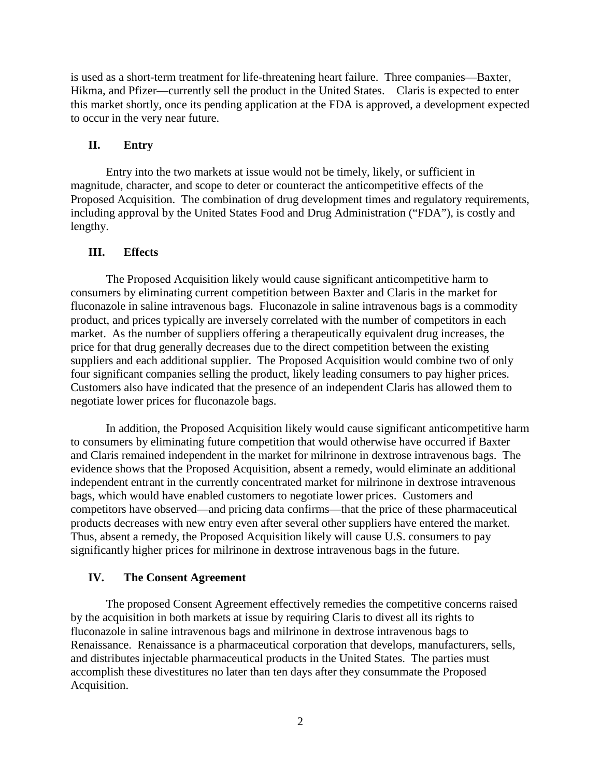is used as a short-term treatment for life-threatening heart failure. Three companies—Baxter, Hikma, and Pfizer—currently sell the product in the United States. Claris is expected to enter this market shortly, once its pending application at the FDA is approved, a development expected to occur in the very near future.

## **II. Entry**

Entry into the two markets at issue would not be timely, likely, or sufficient in magnitude, character, and scope to deter or counteract the anticompetitive effects of the Proposed Acquisition. The combination of drug development times and regulatory requirements, including approval by the United States Food and Drug Administration ("FDA"), is costly and lengthy.

### **III. Effects**

The Proposed Acquisition likely would cause significant anticompetitive harm to consumers by eliminating current competition between Baxter and Claris in the market for fluconazole in saline intravenous bags. Fluconazole in saline intravenous bags is a commodity product, and prices typically are inversely correlated with the number of competitors in each market. As the number of suppliers offering a therapeutically equivalent drug increases, the price for that drug generally decreases due to the direct competition between the existing suppliers and each additional supplier. The Proposed Acquisition would combine two of only four significant companies selling the product, likely leading consumers to pay higher prices. Customers also have indicated that the presence of an independent Claris has allowed them to negotiate lower prices for fluconazole bags.

In addition, the Proposed Acquisition likely would cause significant anticompetitive harm to consumers by eliminating future competition that would otherwise have occurred if Baxter and Claris remained independent in the market for milrinone in dextrose intravenous bags. The evidence shows that the Proposed Acquisition, absent a remedy, would eliminate an additional independent entrant in the currently concentrated market for milrinone in dextrose intravenous bags, which would have enabled customers to negotiate lower prices. Customers and competitors have observed—and pricing data confirms—that the price of these pharmaceutical products decreases with new entry even after several other suppliers have entered the market. Thus, absent a remedy, the Proposed Acquisition likely will cause U.S. consumers to pay significantly higher prices for milrinone in dextrose intravenous bags in the future.

# **IV. The Consent Agreement**

The proposed Consent Agreement effectively remedies the competitive concerns raised by the acquisition in both markets at issue by requiring Claris to divest all its rights to fluconazole in saline intravenous bags and milrinone in dextrose intravenous bags to Renaissance. Renaissance is a pharmaceutical corporation that develops, manufacturers, sells, and distributes injectable pharmaceutical products in the United States. The parties must accomplish these divestitures no later than ten days after they consummate the Proposed Acquisition.